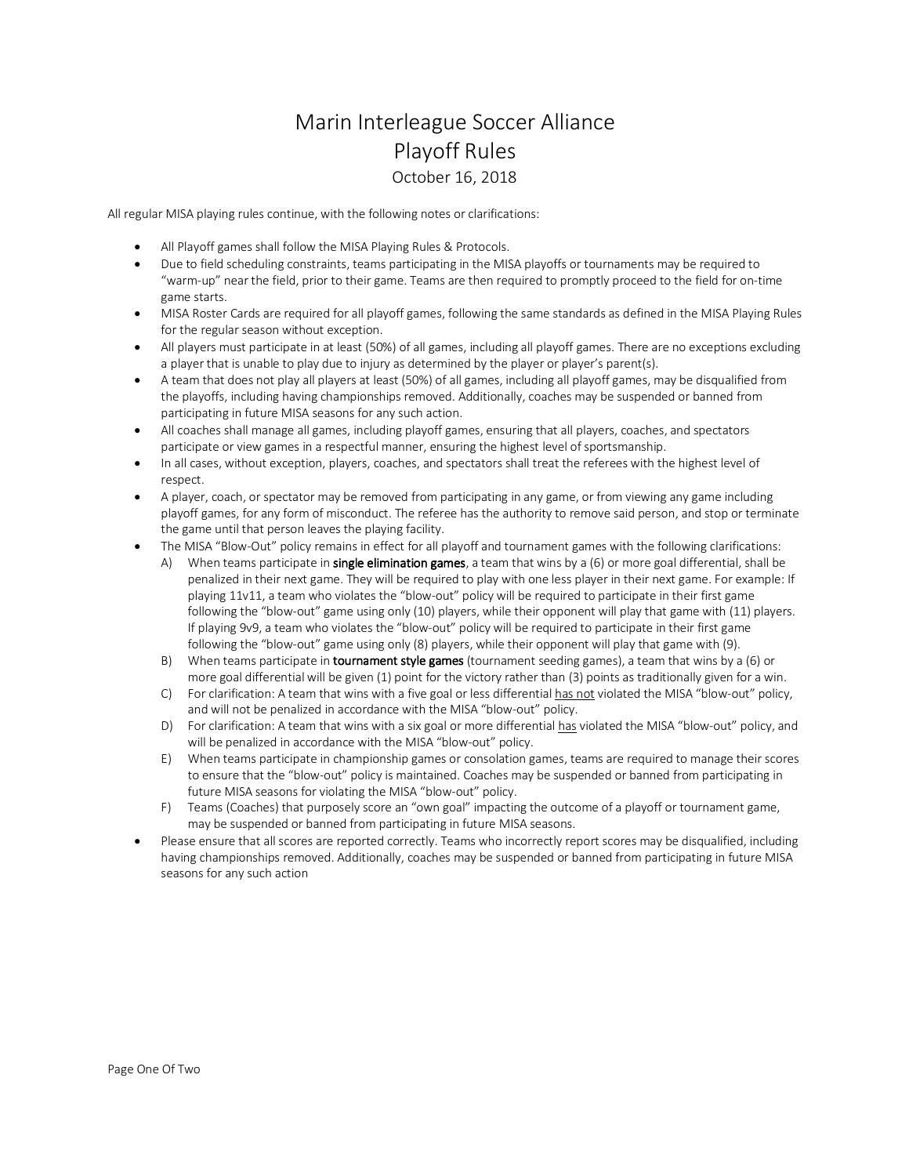## Marin Interleague Soccer Alliance Playoff Rules October 16, 2018

All regular MISA playing rules continue, with the following notes or clarifications:

- All Playoff games shall follow the MISA Playing Rules & Protocols.
- Due to field scheduling constraints, teams participating in the MISA playoffs or tournaments may be required to "warm-up" near the field, prior to their game. Teams are then required to promptly proceed to the field for on-time game starts.
- MISA Roster Cards are required for all playoff games, following the same standards as defined in the MISA Playing Rules for the regular season without exception.
- All players must participate in at least (50%) of all games, including all playoff games. There are no exceptions excluding a player that is unable to play due to injury as determined by the player or player's parent(s).
- A team that does not play all players at least (50%) of all games, including all playoff games, may be disqualified from the playoffs, including having championships removed. Additionally, coaches may be suspended or banned from participating in future MISA seasons for any such action.
- All coaches shall manage all games, including playoff games, ensuring that all players, coaches, and spectators participate or view games in a respectful manner, ensuring the highest level of sportsmanship.
- In all cases, without exception, players, coaches, and spectators shall treat the referees with the highest level of respect.
- A player, coach, or spectator may be removed from participating in any game, or from viewing any game including playoff games, for any form of misconduct. The referee has the authority to remove said person, and stop or terminate the game until that person leaves the playing facility.
- The MISA "Blow-Out" policy remains in effect for all playoff and tournament games with the following clarifications:
	- A) When teams participate in single elimination games, a team that wins by a (6) or more goal differential, shall be penalized in their next game. They will be required to play with one less player in their next game. For example: If playing 11v11, a team who violates the "blow-out" policy will be required to participate in their first game following the "blow-out" game using only (10) players, while their opponent will play that game with (11) players. If playing 9v9, a team who violates the "blow-out" policy will be required to participate in their first game following the "blow-out" game using only (8) players, while their opponent will play that game with (9).
	- B) When teams participate in **tournament style games** (tournament seeding games), a team that wins by a (6) or more goal differentialwill be given (1) point for the victory rather than (3) points as traditionally given for a win.
	- C) For clarification: A team that wins with a five goal or less differential has not violated the MISA "blow-out" policy, and will not be penalized in accordance with the MISA "blow-out" policy.
	- D) For clarification: A team that wins with a six goal or more differential has violated the MISA "blow-out" policy, and will be penalized in accordance with the MISA "blow-out" policy.
	- E) When teams participate in championship games or consolation games, teams are required to manage their scores to ensure that the "blow-out" policy is maintained. Coaches may be suspended or banned from participating in future MISA seasons for violating the MISA "blow-out" policy.
	- F) Teams (Coaches) that purposely score an "own goal" impacting the outcome of a playoff or tournament game, may be suspended or banned from participating in future MISA seasons.
- Please ensure that all scores are reported correctly. Teams who incorrectly report scores may be disqualified, including having championships removed. Additionally, coaches may be suspended or banned from participating in future MISA seasons for any such action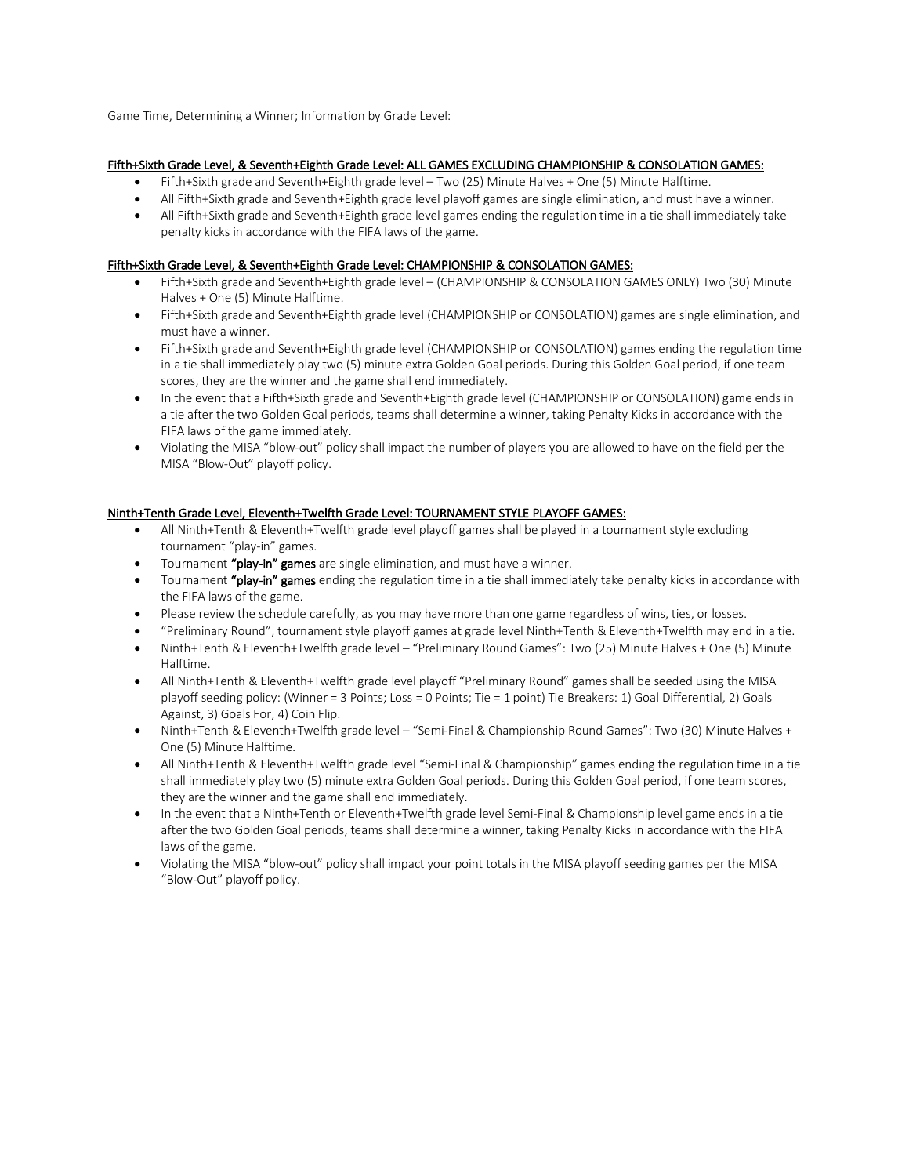Game Time, Determining a Winner; Information by Grade Level:

## Fifth+Sixth Grade Level, & Seventh+Eighth Grade Level: ALL GAMES EXCLUDING CHAMPIONSHIP & CONSOLATION GAMES:

- Fifth+Sixth grade and Seventh+Eighth grade level Two (25) Minute Halves + One (5) Minute Halftime.
- All Fifth+Sixth grade and Seventh+Eighth grade level playoff games are single elimination, and must have a winner.
- All Fifth+Sixth grade and Seventh+Eighth grade level games ending the regulation time in a tie shall immediately take penalty kicks in accordance with the FIFA laws of the game.

## Fifth+Sixth Grade Level, & Seventh+Eighth Grade Level: CHAMPIONSHIP & CONSOLATION GAMES:

- Fifth+Sixth grade and Seventh+Eighth grade level (CHAMPIONSHIP & CONSOLATION GAMES ONLY) Two (30) Minute Halves + One (5) Minute Halftime.
- Fifth+Sixth grade and Seventh+Eighth grade level (CHAMPIONSHIP or CONSOLATION) games are single elimination, and must have a winner.
- Fifth+Sixth grade and Seventh+Eighth grade level (CHAMPIONSHIP or CONSOLATION) games ending the regulation time in a tie shall immediately play two (5) minute extra Golden Goal periods. During this Golden Goal period, if one team scores, they are the winner and the game shall end immediately.
- In the event that a Fifth+Sixth grade and Seventh+Eighth grade level (CHAMPIONSHIP or CONSOLATION) game ends in a tie after the two Golden Goal periods, teams shall determine a winner, taking Penalty Kicks in accordance with the FIFA laws of the game immediately.
- Violating the MISA "blow-out" policy shall impact the number of players you are allowed to have on the field per the MISA "Blow-Out" playoff policy.

## Ninth+Tenth Grade Level, Eleventh+Twelfth Grade Level: TOURNAMENT STYLE PLAYOFF GAMES:

- All Ninth+Tenth & Eleventh+Twelfth grade level playoff games shall be played in a tournament style excluding tournament "play-in" games.
- Tournament "play-in" games are single elimination, and must have a winner.
- Tournament "play-in" games ending the regulation time in a tie shall immediately take penalty kicks in accordance with the FIFA laws of the game.
- Please review the schedule carefully, as you may have more than one game regardless of wins, ties, or losses.
- "Preliminary Round", tournament style playoff games at grade level Ninth+Tenth & Eleventh+Twelfth may end in a tie.
- Ninth+Tenth & Eleventh+Twelfth grade level "Preliminary Round Games": Two (25) Minute Halves + One (5) Minute Halftime.
- All Ninth+Tenth & Eleventh+Twelfth grade level playoff "Preliminary Round" games shall be seeded using the MISA playoff seeding policy: (Winner = 3 Points; Loss = 0 Points; Tie = 1 point) Tie Breakers: 1) Goal Differential, 2) Goals Against, 3) Goals For, 4) Coin Flip.
- Ninth+Tenth & Eleventh+Twelfth grade level "Semi-Final & Championship Round Games": Two (30) Minute Halves + One (5) Minute Halftime.
- All Ninth+Tenth & Eleventh+Twelfth grade level "Semi-Final & Championship" games ending the regulation time in a tie shall immediately play two (5) minute extra Golden Goal periods. During this Golden Goal period, if one team scores, they are the winner and the game shall end immediately.
- In the event that a Ninth+Tenth or Eleventh+Twelfth grade level Semi-Final & Championship level game ends in a tie after the two Golden Goal periods, teams shall determine a winner, taking Penalty Kicks in accordance with the FIFA laws of the game.
- Violating the MISA "blow-out" policy shall impact your point totals in the MISA playoff seeding games per the MISA "Blow-Out" playoff policy.